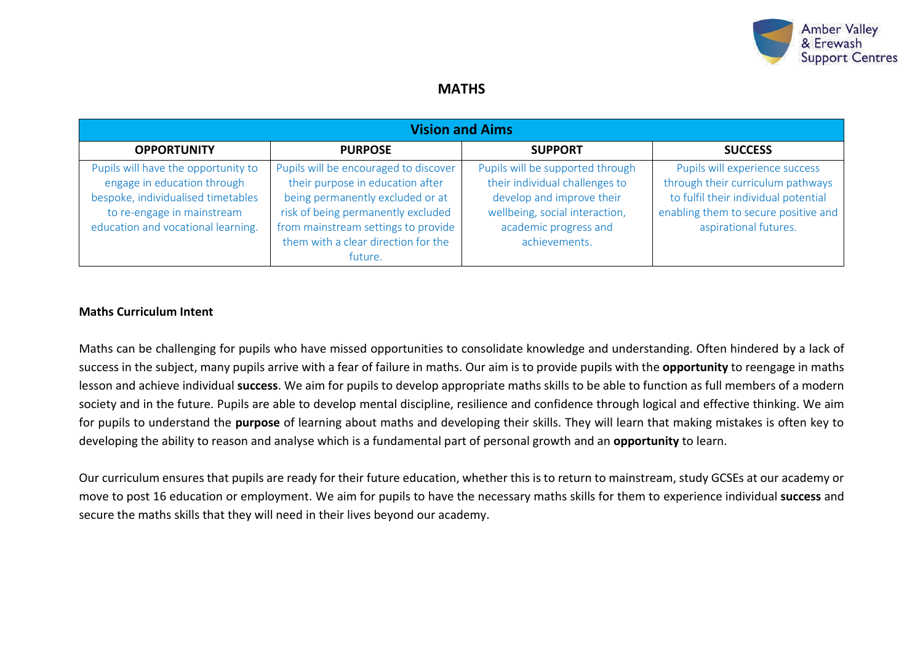

## **MATHS**

| <b>Vision and Aims</b>                                                                                                                                                       |                                                                                                                                                                                                                                              |                                                                                                                                                                             |                                                                                                                                                                              |  |  |  |
|------------------------------------------------------------------------------------------------------------------------------------------------------------------------------|----------------------------------------------------------------------------------------------------------------------------------------------------------------------------------------------------------------------------------------------|-----------------------------------------------------------------------------------------------------------------------------------------------------------------------------|------------------------------------------------------------------------------------------------------------------------------------------------------------------------------|--|--|--|
| <b>OPPORTUNITY</b>                                                                                                                                                           | <b>PURPOSE</b>                                                                                                                                                                                                                               | <b>SUPPORT</b>                                                                                                                                                              | <b>SUCCESS</b>                                                                                                                                                               |  |  |  |
| Pupils will have the opportunity to<br>engage in education through<br>bespoke, individualised timetables<br>to re-engage in mainstream<br>education and vocational learning. | Pupils will be encouraged to discover<br>their purpose in education after<br>being permanently excluded or at<br>risk of being permanently excluded<br>from mainstream settings to provide<br>them with a clear direction for the<br>future. | Pupils will be supported through<br>their individual challenges to<br>develop and improve their<br>wellbeing, social interaction,<br>academic progress and<br>achievements. | Pupils will experience success<br>through their curriculum pathways<br>to fulfil their individual potential<br>enabling them to secure positive and<br>aspirational futures. |  |  |  |

#### **Maths Curriculum Intent**

Maths can be challenging for pupils who have missed opportunities to consolidate knowledge and understanding. Often hindered by a lack of success in the subject, many pupils arrive with a fear of failure in maths. Our aim is to provide pupils with the **opportunity** to reengage in maths lesson and achieve individual **success**. We aim for pupils to develop appropriate maths skills to be able to function as full members of a modern society and in the future. Pupils are able to develop mental discipline, resilience and confidence through logical and effective thinking. We aim for pupils to understand the **purpose** of learning about maths and developing their skills. They will learn that making mistakes is often key to developing the ability to reason and analyse which is a fundamental part of personal growth and an **opportunity** to learn.

Our curriculum ensures that pupils are ready for their future education, whether this is to return to mainstream, study GCSEs at our academy or move to post 16 education or employment. We aim for pupils to have the necessary maths skills for them to experience individual **success** and secure the maths skills that they will need in their lives beyond our academy.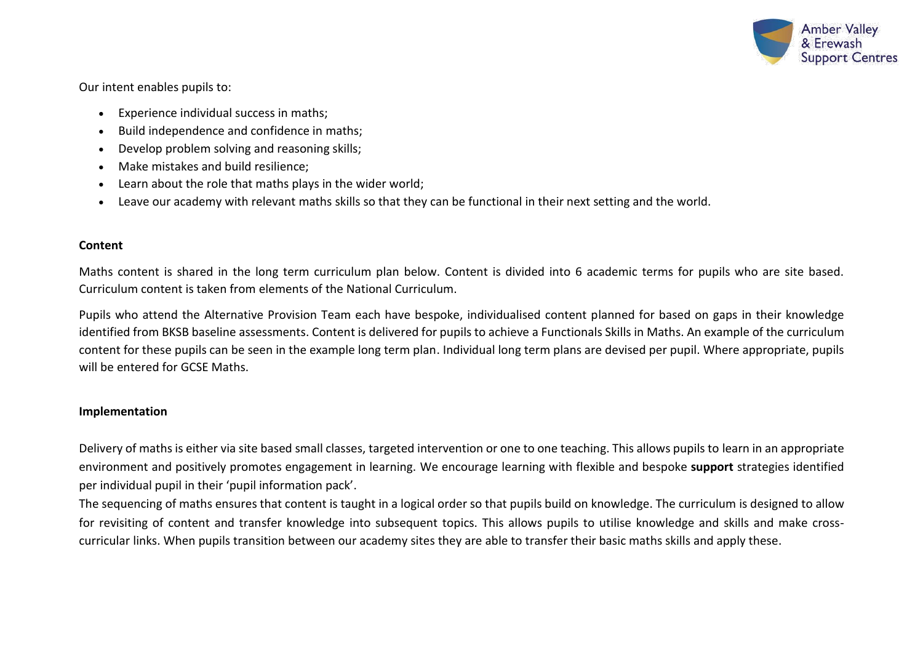

Our intent enables pupils to:

- Experience individual success in maths;
- Build independence and confidence in maths;
- Develop problem solving and reasoning skills;
- Make mistakes and build resilience;
- Learn about the role that maths plays in the wider world;
- Leave our academy with relevant maths skills so that they can be functional in their next setting and the world.

## **Content**

Maths content is shared in the long term curriculum plan below. Content is divided into 6 academic terms for pupils who are site based. Curriculum content is taken from elements of the National Curriculum.

Pupils who attend the Alternative Provision Team each have bespoke, individualised content planned for based on gaps in their knowledge identified from BKSB baseline assessments. Content is delivered for pupils to achieve a Functionals Skills in Maths. An example of the curriculum content for these pupils can be seen in the example long term plan. Individual long term plans are devised per pupil. Where appropriate, pupils will be entered for GCSE Maths.

### **Implementation**

Delivery of maths is either via site based small classes, targeted intervention or one to one teaching. This allows pupils to learn in an appropriate environment and positively promotes engagement in learning. We encourage learning with flexible and bespoke **support** strategies identified per individual pupil in their 'pupil information pack'.

The sequencing of maths ensures that content is taught in a logical order so that pupils build on knowledge. The curriculum is designed to allow for revisiting of content and transfer knowledge into subsequent topics. This allows pupils to utilise knowledge and skills and make crosscurricular links. When pupils transition between our academy sites they are able to transfer their basic maths skills and apply these.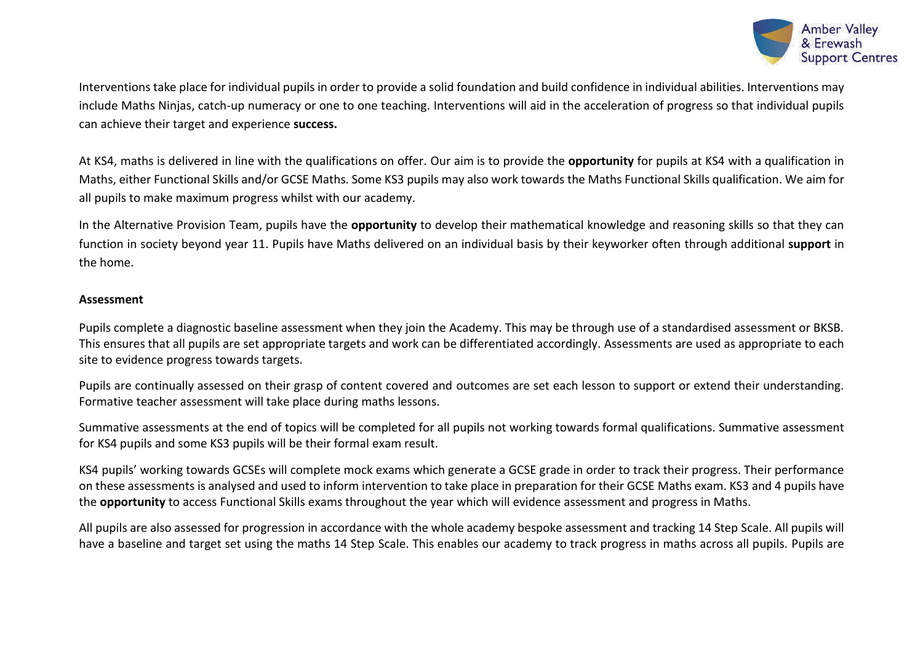

Interventions take place for individual pupils in order to provide a solid foundation and build confidence in individual abilities. Interventions may include Maths Ninjas, catch-up numeracy or one to one teaching. Interventions will aid in the acceleration of progress so that individual pupils can achieve their target and experience **success.**

At KS4, maths is delivered in line with the qualifications on offer. Our aim is to provide the **opportunity** for pupils at KS4 with a qualification in Maths, either Functional Skills and/or GCSE Maths. Some KS3 pupils may also work towards the Maths Functional Skills qualification. We aim for all pupils to make maximum progress whilst with our academy.

In the Alternative Provision Team, pupils have the **opportunity** to develop their mathematical knowledge and reasoning skills so that they can function in society beyond year 11. Pupils have Maths delivered on an individual basis by their keyworker often through additional **support** in the home.

#### **Assessment**

Pupils complete a diagnostic baseline assessment when they join the Academy. This may be through use of a standardised assessment or BKSB. This ensures that all pupils are set appropriate targets and work can be differentiated accordingly. Assessments are used as appropriate to each site to evidence progress towards targets.

Pupils are continually assessed on their grasp of content covered and outcomes are set each lesson to support or extend their understanding. Formative teacher assessment will take place during maths lessons.

Summative assessments at the end of topics will be completed for all pupils not working towards formal qualifications. Summative assessment for KS4 pupils and some KS3 pupils will be their formal exam result.

KS4 pupils' working towards GCSEs will complete mock exams which generate a GCSE grade in order to track their progress. Their performance on these assessments is analysed and used to inform intervention to take place in preparation for their GCSE Maths exam. KS3 and 4 pupils have the **opportunity** to access Functional Skills exams throughout the year which will evidence assessment and progress in Maths.

All pupils are also assessed for progression in accordance with the whole academy bespoke assessment and tracking 14 Step Scale. All pupils will have a baseline and target set using the maths 14 Step Scale. This enables our academy to track progress in maths across all pupils. Pupils are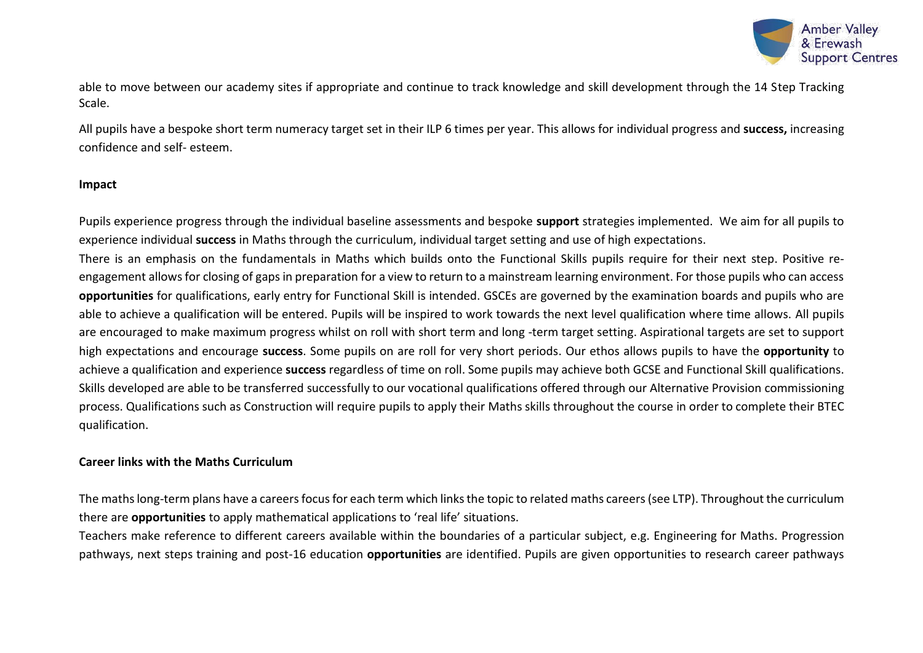

able to move between our academy sites if appropriate and continue to track knowledge and skill development through the 14 Step Tracking Scale.

All pupils have a bespoke short term numeracy target set in their ILP 6 times per year. This allows for individual progress and **success,** increasing confidence and self- esteem.

#### **Impact**

Pupils experience progress through the individual baseline assessments and bespoke **support** strategies implemented. We aim for all pupils to experience individual **success** in Maths through the curriculum, individual target setting and use of high expectations.

There is an emphasis on the fundamentals in Maths which builds onto the Functional Skills pupils require for their next step. Positive reengagement allows for closing of gaps in preparation for a view to return to a mainstream learning environment. For those pupils who can access **opportunities** for qualifications, early entry for Functional Skill is intended. GSCEs are governed by the examination boards and pupils who are able to achieve a qualification will be entered. Pupils will be inspired to work towards the next level qualification where time allows. All pupils are encouraged to make maximum progress whilst on roll with short term and long -term target setting. Aspirational targets are set to support high expectations and encourage **success**. Some pupils on are roll for very short periods. Our ethos allows pupils to have the **opportunity** to achieve a qualification and experience **success** regardless of time on roll. Some pupils may achieve both GCSE and Functional Skill qualifications. Skills developed are able to be transferred successfully to our vocational qualifications offered through our Alternative Provision commissioning process. Qualifications such as Construction will require pupils to apply their Maths skills throughout the course in order to complete their BTEC qualification.

#### **Career links with the Maths Curriculum**

The maths long-term plans have a careers focus for each term which links the topic to related maths careers (see LTP). Throughout the curriculum there are **opportunities** to apply mathematical applications to 'real life' situations.

Teachers make reference to different careers available within the boundaries of a particular subject, e.g. Engineering for Maths. Progression pathways, next steps training and post-16 education **opportunities** are identified. Pupils are given opportunities to research career pathways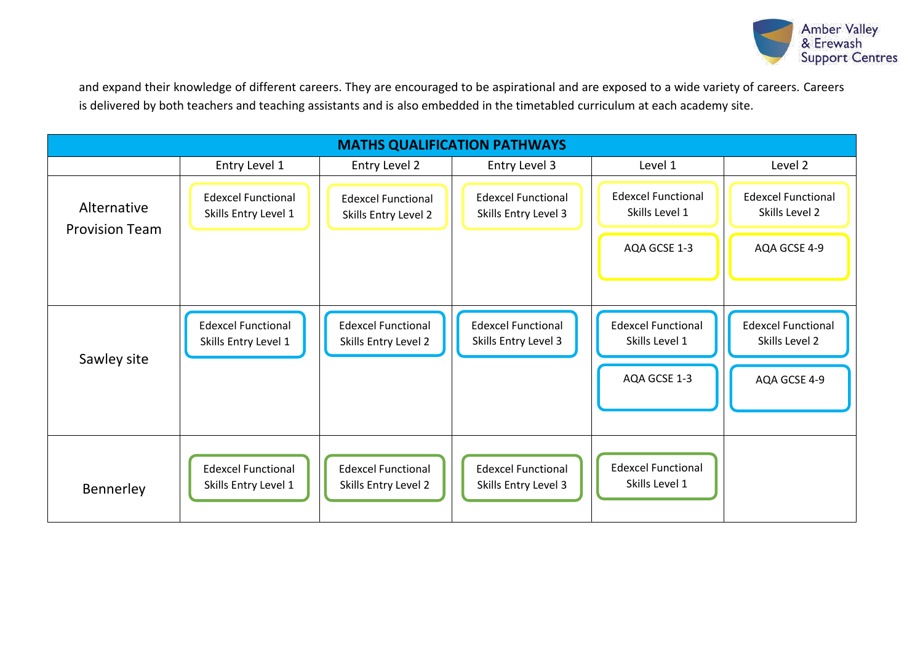

and expand their knowledge of different careers. They are encouraged to be aspirational and are exposed to a wide variety of careers. Careers is delivered by both teachers and teaching assistants and is also embedded in the timetabled curriculum at each academy site.

| <b>MATHS QUALIFICATION PATHWAYS</b>  |                                                   |                                                   |                                                   |                                                             |                                                             |
|--------------------------------------|---------------------------------------------------|---------------------------------------------------|---------------------------------------------------|-------------------------------------------------------------|-------------------------------------------------------------|
|                                      | Entry Level 1                                     | Entry Level 2                                     | Entry Level 3                                     | Level 1                                                     | Level 2                                                     |
| Alternative<br><b>Provision Team</b> | <b>Edexcel Functional</b><br>Skills Entry Level 1 | <b>Edexcel Functional</b><br>Skills Entry Level 2 | <b>Edexcel Functional</b><br>Skills Entry Level 3 | <b>Edexcel Functional</b><br>Skills Level 1                 | <b>Edexcel Functional</b><br>Skills Level 2                 |
|                                      |                                                   |                                                   |                                                   | AQA GCSE 1-3                                                | AQA GCSE 4-9                                                |
| Sawley site                          | <b>Edexcel Functional</b><br>Skills Entry Level 1 | <b>Edexcel Functional</b><br>Skills Entry Level 2 | <b>Edexcel Functional</b><br>Skills Entry Level 3 | <b>Edexcel Functional</b><br>Skills Level 1<br>AQA GCSE 1-3 | <b>Edexcel Functional</b><br>Skills Level 2<br>AQA GCSE 4-9 |
| Bennerley                            | <b>Edexcel Functional</b><br>Skills Entry Level 1 | <b>Edexcel Functional</b><br>Skills Entry Level 2 | <b>Edexcel Functional</b><br>Skills Entry Level 3 | <b>Edexcel Functional</b><br>Skills Level 1                 |                                                             |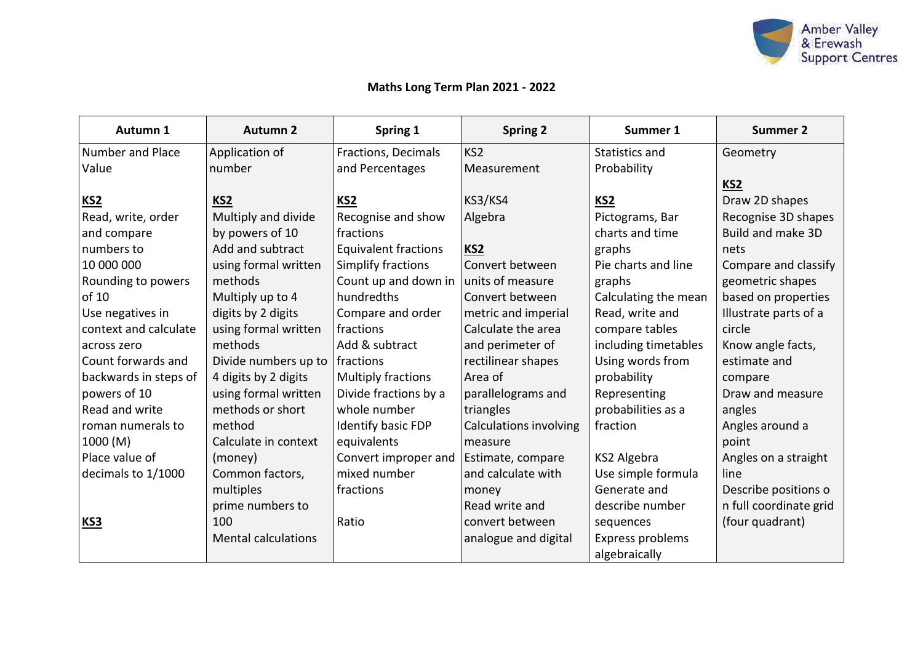

# **Maths Long Term Plan 2021 - 2022**

| Autumn 1              | <b>Autumn 2</b>            | Spring 1                    | <b>Spring 2</b>               | Summer 1             | <b>Summer 2</b>        |
|-----------------------|----------------------------|-----------------------------|-------------------------------|----------------------|------------------------|
| Number and Place      | Application of             | Fractions, Decimals         | KS <sub>2</sub>               | Statistics and       | Geometry               |
| Value                 | number                     | and Percentages             | Measurement                   | Probability          |                        |
|                       |                            |                             |                               |                      | KS <sub>2</sub>        |
| KS <sub>2</sub>       | KS <sub>2</sub>            | KS <sub>2</sub>             | KS3/KS4                       | KS <sub>2</sub>      | Draw 2D shapes         |
| Read, write, order    | Multiply and divide        | Recognise and show          | Algebra                       | Pictograms, Bar      | Recognise 3D shapes    |
| and compare           | by powers of 10            | fractions                   |                               | charts and time      | Build and make 3D      |
| numbers to            | Add and subtract           | <b>Equivalent fractions</b> | KS <sub>2</sub>               | graphs               | nets                   |
| 10 000 000            | using formal written       | Simplify fractions          | Convert between               | Pie charts and line  | Compare and classify   |
| Rounding to powers    | methods                    | Count up and down in        | units of measure              | graphs               | geometric shapes       |
| of 10                 | Multiply up to 4           | hundredths                  | Convert between               | Calculating the mean | based on properties    |
| Use negatives in      | digits by 2 digits         | Compare and order           | metric and imperial           | Read, write and      | Illustrate parts of a  |
| context and calculate | using formal written       | fractions                   | Calculate the area            | compare tables       | circle                 |
| across zero           | methods                    | Add & subtract              | and perimeter of              | including timetables | Know angle facts,      |
| Count forwards and    | Divide numbers up to       | fractions                   | rectilinear shapes            | Using words from     | estimate and           |
| backwards in steps of | 4 digits by 2 digits       | Multiply fractions          | Area of                       | probability          | compare                |
| powers of 10          | using formal written       | Divide fractions by a       | parallelograms and            | Representing         | Draw and measure       |
| Read and write        | methods or short           | whole number                | triangles                     | probabilities as a   | angles                 |
| roman numerals to     | method                     | Identify basic FDP          | <b>Calculations involving</b> | fraction             | Angles around a        |
| 1000 (M)              | Calculate in context       | equivalents                 | measure                       |                      | point                  |
| Place value of        | (money)                    | Convert improper and        | Estimate, compare             | KS2 Algebra          | Angles on a straight   |
| decimals to 1/1000    | Common factors,            | mixed number                | and calculate with            | Use simple formula   | line                   |
|                       | multiples                  | fractions                   | money                         | Generate and         | Describe positions o   |
|                       | prime numbers to           |                             | Read write and                | describe number      | n full coordinate grid |
| KS3                   | 100                        | Ratio                       | convert between               | sequences            | (four quadrant)        |
|                       | <b>Mental calculations</b> |                             | analogue and digital          | Express problems     |                        |
|                       |                            |                             |                               | algebraically        |                        |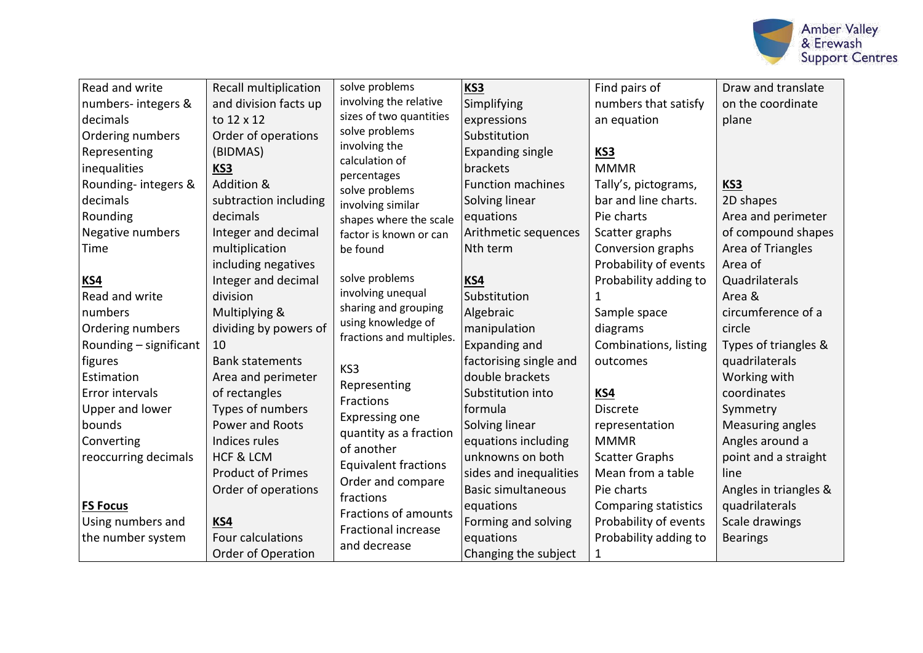

| Read and write         | <b>Recall multiplication</b> | solve problems                | <b>KS3</b>                | Find pairs of               | Draw and translate    |
|------------------------|------------------------------|-------------------------------|---------------------------|-----------------------------|-----------------------|
| numbers-integers &     | and division facts up        | involving the relative        | Simplifying               | numbers that satisfy        | on the coordinate     |
| decimals               | to 12 x 12                   | sizes of two quantities       | expressions               | an equation                 | plane                 |
| Ordering numbers       | Order of operations          | solve problems                | Substitution              |                             |                       |
| Representing           | (BIDMAS)                     | involving the                 | <b>Expanding single</b>   | <b>KS3</b>                  |                       |
| inequalities           | KS3                          | calculation of                | brackets                  | <b>MMMR</b>                 |                       |
| Rounding-integers &    | Addition &                   | percentages<br>solve problems | <b>Function machines</b>  | Tally's, pictograms,        | KS3                   |
| decimals               | subtraction including        | involving similar             | Solving linear            | bar and line charts.        | 2D shapes             |
| Rounding               | decimals                     | shapes where the scale        | equations                 | Pie charts                  | Area and perimeter    |
| Negative numbers       | Integer and decimal          | factor is known or can        | Arithmetic sequences      | Scatter graphs              | of compound shapes    |
| Time                   | multiplication               | be found                      | Nth term                  | Conversion graphs           | Area of Triangles     |
|                        | including negatives          |                               |                           | Probability of events       | Area of               |
| KS4                    | Integer and decimal          | solve problems                | KS4                       | Probability adding to       | Quadrilaterals        |
| Read and write         | division                     | involving unequal             | Substitution              |                             | Area &                |
| numbers                | Multiplying &                | sharing and grouping          | Algebraic                 | Sample space                | circumference of a    |
| Ordering numbers       | dividing by powers of        | using knowledge of            | manipulation              | diagrams                    | circle                |
| Rounding - significant | 10                           | fractions and multiples.      | Expanding and             | Combinations, listing       | Types of triangles &  |
| figures                | <b>Bank statements</b>       | KS3                           | factorising single and    | outcomes                    | quadrilaterals        |
| Estimation             | Area and perimeter           | Representing                  | double brackets           |                             | Working with          |
| Error intervals        | of rectangles                | Fractions                     | Substitution into         | KS4                         | coordinates           |
| Upper and lower        | Types of numbers             | Expressing one                | formula                   | <b>Discrete</b>             | Symmetry              |
| bounds                 | Power and Roots              | quantity as a fraction        | Solving linear            | representation              | Measuring angles      |
| Converting             | Indices rules                | of another                    | equations including       | <b>MMMR</b>                 | Angles around a       |
| reoccurring decimals   | <b>HCF &amp; LCM</b>         | <b>Equivalent fractions</b>   | unknowns on both          | <b>Scatter Graphs</b>       | point and a straight  |
|                        | <b>Product of Primes</b>     | Order and compare             | sides and inequalities    | Mean from a table           | line                  |
|                        | Order of operations          | fractions                     | <b>Basic simultaneous</b> | Pie charts                  | Angles in triangles & |
| <b>FS Focus</b>        |                              | Fractions of amounts          | equations                 | <b>Comparing statistics</b> | quadrilaterals        |
| Using numbers and      | KS4                          | <b>Fractional increase</b>    | Forming and solving       | Probability of events       | Scale drawings        |
| the number system      | Four calculations            | and decrease                  | equations                 | Probability adding to       | <b>Bearings</b>       |
|                        | <b>Order of Operation</b>    |                               | Changing the subject      | 1                           |                       |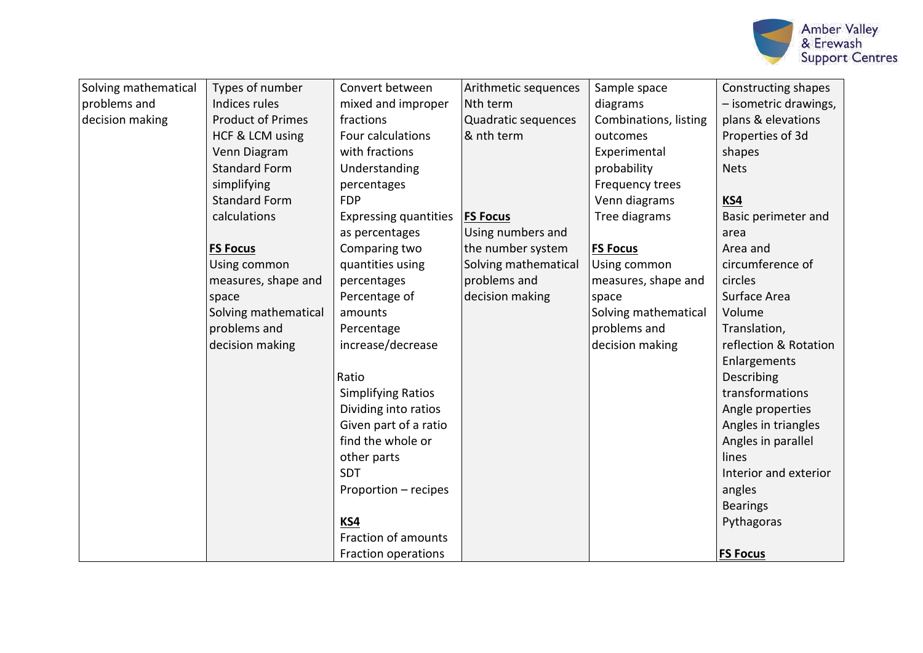

| Solving mathematical | Types of number          | Convert between              | Arithmetic sequences | Sample space          | Constructing shapes   |
|----------------------|--------------------------|------------------------------|----------------------|-----------------------|-----------------------|
| problems and         | Indices rules            | mixed and improper           | Nth term             | diagrams              | - isometric drawings, |
| decision making      | <b>Product of Primes</b> | fractions                    | Quadratic sequences  | Combinations, listing | plans & elevations    |
|                      | HCF & LCM using          | Four calculations            | & nth term           | outcomes              | Properties of 3d      |
|                      | Venn Diagram             | with fractions               |                      | Experimental          | shapes                |
|                      | <b>Standard Form</b>     | Understanding                |                      | probability           | <b>Nets</b>           |
|                      | simplifying              | percentages                  |                      | Frequency trees       |                       |
|                      | <b>Standard Form</b>     | <b>FDP</b>                   |                      | Venn diagrams         | KS4                   |
|                      | calculations             | <b>Expressing quantities</b> | <b>FS Focus</b>      | Tree diagrams         | Basic perimeter and   |
|                      |                          | as percentages               | Using numbers and    |                       | area                  |
|                      | <b>FS Focus</b>          | Comparing two                | the number system    | <b>FS Focus</b>       | Area and              |
|                      | Using common             | quantities using             | Solving mathematical | Using common          | circumference of      |
|                      | measures, shape and      | percentages                  | problems and         | measures, shape and   | circles               |
|                      | space                    | Percentage of                | decision making      | space                 | Surface Area          |
|                      | Solving mathematical     | amounts                      |                      | Solving mathematical  | Volume                |
|                      | problems and             | Percentage                   |                      | problems and          | Translation,          |
|                      | decision making          | increase/decrease            |                      | decision making       | reflection & Rotation |
|                      |                          |                              |                      |                       | Enlargements          |
|                      |                          | Ratio                        |                      |                       | Describing            |
|                      |                          | <b>Simplifying Ratios</b>    |                      |                       | transformations       |
|                      |                          | Dividing into ratios         |                      |                       | Angle properties      |
|                      |                          | Given part of a ratio        |                      |                       | Angles in triangles   |
|                      |                          | find the whole or            |                      |                       | Angles in parallel    |
|                      |                          | other parts                  |                      |                       | lines                 |
|                      |                          | <b>SDT</b>                   |                      |                       | Interior and exterior |
|                      |                          | Proportion - recipes         |                      |                       | angles                |
|                      |                          |                              |                      |                       | <b>Bearings</b>       |
|                      |                          | KS4                          |                      |                       | Pythagoras            |
|                      |                          | Fraction of amounts          |                      |                       |                       |
|                      |                          | Fraction operations          |                      |                       | <b>FS Focus</b>       |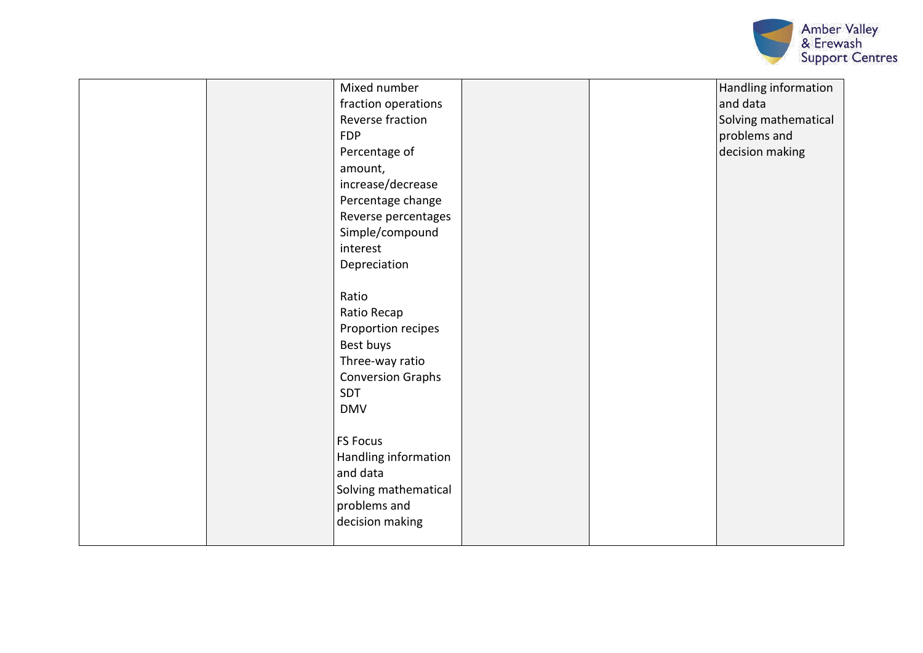

| Mixed number<br>fraction operations<br>Reverse fraction<br><b>FDP</b><br>Percentage of<br>amount,<br>increase/decrease<br>Percentage change<br>Reverse percentages<br>Simple/compound<br>interest<br>Depreciation |  | Handling information<br>and data<br>Solving mathematical<br>problems and<br>decision making |
|-------------------------------------------------------------------------------------------------------------------------------------------------------------------------------------------------------------------|--|---------------------------------------------------------------------------------------------|
| Ratio                                                                                                                                                                                                             |  |                                                                                             |
| Ratio Recap<br>Proportion recipes                                                                                                                                                                                 |  |                                                                                             |
| Best buys<br>Three-way ratio                                                                                                                                                                                      |  |                                                                                             |
| <b>Conversion Graphs</b>                                                                                                                                                                                          |  |                                                                                             |
| SDT                                                                                                                                                                                                               |  |                                                                                             |
| <b>DMV</b>                                                                                                                                                                                                        |  |                                                                                             |
| <b>FS Focus</b><br>Handling information<br>and data                                                                                                                                                               |  |                                                                                             |
| Solving mathematical<br>problems and<br>decision making                                                                                                                                                           |  |                                                                                             |